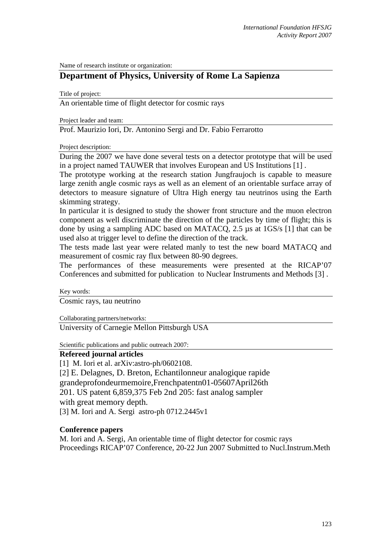Name of research institute or organization:

## **Department of Physics, University of Rome La Sapienza**

Title of project:

An orientable time of flight detector for cosmic rays

Project leader and team:

Prof. Maurizio Iori, Dr. Antonino Sergi and Dr. Fabio Ferrarotto

Project description:

During the 2007 we have done several tests on a detector prototype that will be used in a project named TAUWER that involves European and US Institutions [1] .

The prototype working at the research station Jungfraujoch is capable to measure large zenith angle cosmic rays as well as an element of an orientable surface array of detectors to measure signature of Ultra High energy tau neutrinos using the Earth skimming strategy.

In particular it is designed to study the shower front structure and the muon electron component as well discriminate the direction of the particles by time of flight; this is done by using a sampling ADC based on MATACQ, 2.5 µs at 1GS/s [1] that can be used also at trigger level to define the direction of the track.

The tests made last year were related manly to test the new board MATACQ and measurement of cosmic ray flux between 80-90 degrees.

The performances of these measurements were presented at the RICAP'07 Conferences and submitted for publication to Nuclear Instruments and Methods [3] .

Key words:

Cosmic rays, tau neutrino

Collaborating partners/networks:

University of Carnegie Mellon Pittsburgh USA

Scientific publications and public outreach 2007:

## **Refereed journal articles**

[1] M. Iori et al. arXiv: astro-ph/0602108. [2] E. Delagnes, D. Breton, Echantilonneur analogique rapide grandeprofondeurmemoire,Frenchpatentn01-05607April26th 201. US patent 6,859,375 Feb 2nd 205: fast analog sampler with great memory depth. [3] M. Iori and A. Sergi astro-ph 0712.2445v1

## **Conference papers**

M. Iori and A. Sergi, An orientable time of flight detector for cosmic rays Proceedings RICAP'07 Conference, 20-22 Jun 2007 Submitted to Nucl.Instrum.Meth